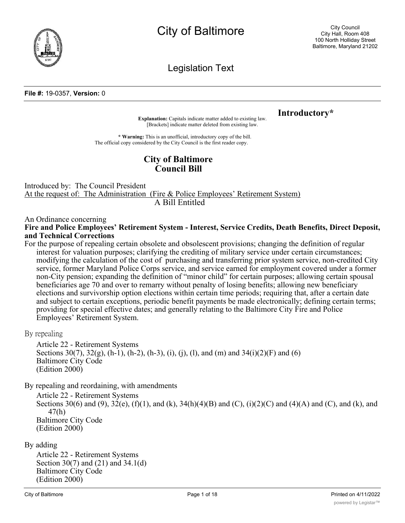

Legislation Text

#### **File #:** 19-0357, **Version:** 0

**Explanation:** Capitals indicate matter added to existing law. **Introductory**<sup>\*</sup>

[Brackets] indicate matter deleted from existing law.

**\* Warning:** This is an unofficial, introductory copy of the bill. The official copy considered by the City Council is the first reader copy.

# **City of Baltimore Council Bill**

Introduced by: The Council President At the request of: The Administration (Fire & Police Employees' Retirement System) A Bill Entitled

An Ordinance concerning

**Fire and Police Employees' Retirement System - Interest, Service Credits, Death Benefits, Direct Deposit, and Technical Corrections**

For the purpose of repealing certain obsolete and obsolescent provisions; changing the definition of regular interest for valuation purposes; clarifying the crediting of military service under certain circumstances; modifying the calculation of the cost of purchasing and transferring prior system service, non-credited City service, former Maryland Police Corps service, and service earned for employment covered under a former non-City pension; expanding the definition of "minor child" for certain purposes; allowing certain spousal beneficiaries age 70 and over to remarry without penalty of losing benefits; allowing new beneficiary elections and survivorship option elections within certain time periods; requiring that, after a certain date and subject to certain exceptions, periodic benefit payments be made electronically; defining certain terms; providing for special effective dates; and generally relating to the Baltimore City Fire and Police Employees' Retirement System.

By repealing

Article 22 - Retirement Systems Sections  $30(7)$ ,  $32(g)$ , (h-1), (h-2), (h-3), (i), (j), (l), and (m) and  $34(i)(2)(F)$  and (6) Baltimore City Code (Edition 2000)

By repealing and reordaining, with amendments

Article 22 - Retirement Systems Sections 30(6) and (9),  $32(e)$ , (f)(1), and (k),  $34(h)(4)(B)$  and (C), (i)(2)(C) and (4)(A) and (C), and (k), and 47(h) Baltimore City Code (Edition 2000)

### By adding

Article 22 - Retirement Systems Section 30(7) and (21) and 34.1(d) Baltimore City Code (Edition 2000)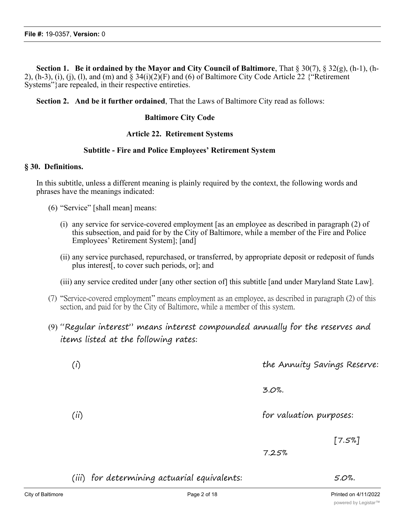**Section 1. Be it ordained by the Mayor and City Council of Baltimore**, That § 30(7), § 32(g), (h-1), (h-2),  $(h-3)$ ,  $(i)$ ,  $(i)$ ,  $(l)$ , and  $(m)$  and  $\S 34(i)(2)(F)$  and  $(6)$  of Baltimore City Code Article 22  $\{$ "Retirement Systems" are repealed, in their respective entireties.

**Section 2. And be it further ordained**, That the Laws of Baltimore City read as follows:

### **Baltimore City Code**

### **Article 22. Retirement Systems**

### **Subtitle - Fire and Police Employees' Retirement System**

### **§ 30. Definitions.**

In this subtitle, unless a different meaning is plainly required by the context, the following words and phrases have the meanings indicated:

- (6) "Service" [shall mean] means:
	- (i) any service for service-covered employment [as an employee as described in paragraph (2) of this subsection, and paid for by the City of Baltimore, while a member of the Fire and Police Employees' Retirement System]; [and]
	- (ii) any service purchased, repurchased, or transferred, by appropriate deposit or redeposit of funds plus interest[, to cover such periods, or]; and
	- (iii) any service credited under [any other section of] this subtitle [and under Maryland State Law].
- (7) "Service-covered employment" means employment as an employee, as described in paragraph (2) of this section, and paid for by the City of Baltimore, while a member of this system.
- (9) "Regular interest" means interest compounded annually for the reserves and items listed at the following rates:

| (i)                                          | the Annuity Savings Reserve: |  |
|----------------------------------------------|------------------------------|--|
|                                              | 3.0%                         |  |
| (ii)                                         | for valuation purposes:      |  |
|                                              | $[7.5\%]$<br>7.25%           |  |
| (iii) for determining actuarial equivalents: | 5.0%.                        |  |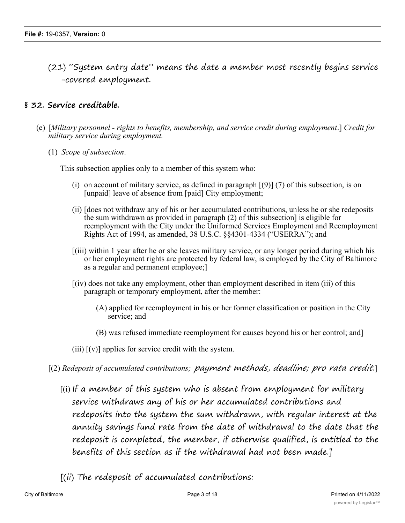(21) "System entry date" means the date a member most recently begins service -covered employment.

# **§ 32. Service creditable.**

- (e) [*Military personnel rights to benefits, membership, and service credit during employment*.] *Credit for military service during employment.*
	- (1) *Scope of subsection*.

This subsection applies only to a member of this system who:

- (i) on account of military service, as defined in paragraph  $(9)$  (7) of this subsection, is on [unpaid] leave of absence from [paid] City employment;
- (ii) [does not withdraw any of his or her accumulated contributions, unless he or she redeposits the sum withdrawn as provided in paragraph (2) of this subsection] is eligible for reemployment with the City under the Uniformed Services Employment and Reemployment Rights Act of 1994, as amended, 38 U.S.C. §§4301-4334 ("USERRA"); and
- [(iii) within 1 year after he or she leaves military service, or any longer period during which his or her employment rights are protected by federal law, is employed by the City of Baltimore as a regular and permanent employee;]
- [(iv) does not take any employment, other than employment described in item (iii) of this paragraph or temporary employment, after the member:
	- (A) applied for reemployment in his or her former classification or position in the City service; and
	- (B) was refused immediate reemployment for causes beyond his or her control; and]
- (iii)  $[(v)]$  applies for service credit with the system.
- [(2) *Redeposit of accumulated contributions; payment methods, deadline; pro rata credit.*]
	- $[(i)$  If a member of this system who is absent from employment for military service withdraws any of his or her accumulated contributions and redeposits into the system the sum withdrawn, with regular interest at the annuity savings fund rate from the date of withdrawal to the date that the redeposit is completed, the member, if otherwise qualified, is entitled to the benefits of this section as if the withdrawal had not been made.]
	- $[(ii)$  The redeposit of accumulated contributions: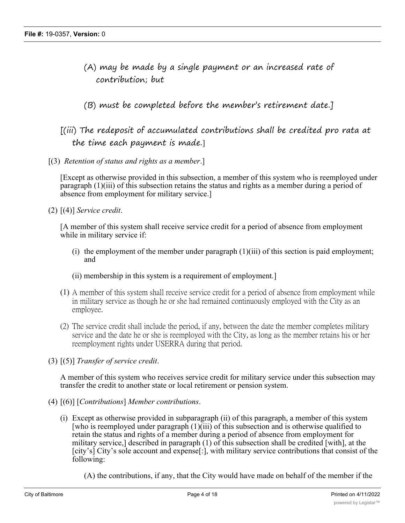- (A) may be made by a single payment or an increased rate of contribution; but
- (B) must be completed before the member's retirement date.]

# [(iii) The redeposit of accumulated contributions shall be credited pro rata at the time each payment is made.]

[(3) *Retention of status and rights as a member*.]

[Except as otherwise provided in this subsection, a member of this system who is reemployed under paragraph (1)(iii) of this subsection retains the status and rights as a member during a period of absence from employment for military service.]

(2) [(4)] *Service credit*.

[A member of this system shall receive service credit for a period of absence from employment while in military service if:

- (i) the employment of the member under paragraph  $(1)(iii)$  of this section is paid employment; and
- (ii) membership in this system is a requirement of employment.]
- (1) A member of this system shall receive service credit for a period of absence from employment while in military service as though he or she had remained continuously employed with the City as an employee.
- (2) The service credit shall include the period, if any, between the date the member completes military service and the date he or she is reemployed with the City, as long as the member retains his or her reemployment rights under USERRA during that period.
- (3) [(5)] *Transfer of service credit*.

A member of this system who receives service credit for military service under this subsection may transfer the credit to another state or local retirement or pension system.

- (4) [(6)] [*Contributions*] *Member contributions*.
	- (i) Except as otherwise provided in subparagraph (ii) of this paragraph, a member of this system [who is reemployed under paragraph (1)(iii) of this subsection and is otherwise qualified to retain the status and rights of a member during a period of absence from employment for military service,] described in paragraph (1) of this subsection shall be credited [with], at the [city's] City's sole account and expense[:], with military service contributions that consist of the following:

(A) the contributions, if any, that the City would have made on behalf of the member if the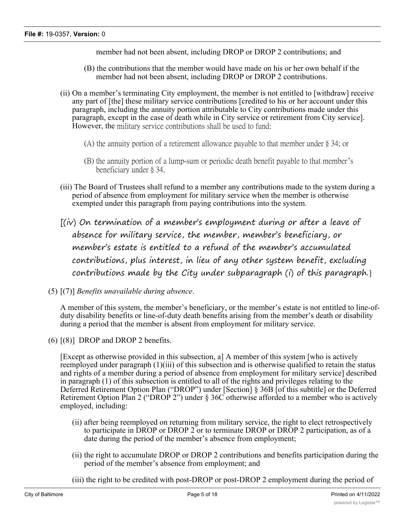member had not been absent, including DROP or DROP 2 contributions; and

- (B) the contributions that the member would have made on his or her own behalf if the member had not been absent, including DROP or DROP 2 contributions.
- (ii) On a member's terminating City employment, the member is not entitled to [withdraw] receive any part of [the] these military service contributions [credited to his or her account under this paragraph, including the annuity portion attributable to City contributions made under this paragraph, except in the case of death while in City service or retirement from City service]. However, the military service contributions shall be used to fund:
	- (A) the annuity portion of a retirement allowance payable to that member under § 34; or
	- (B) the annuity portion of a lump-sum or periodic death benefit payable to that member's beneficiary under § 34.
- (iii) The Board of Trustees shall refund to a member any contributions made to the system during a period of absence from employment for military service when the member is otherwise exempted under this paragraph from paying contributions into the system.
- [(iv) On termination of a member's employment during or after a leave of absence for military service, the member, member's beneficiary, or member's estate is entitled to a refund of the member's accumulated contributions, plus interest, in lieu of any other system benefit, excluding contributions made by the City under subparagraph (i) of this paragraph.]
- (5) [(7)] *Benefits unavailable during absence*.

A member of this system, the member's beneficiary, or the member's estate is not entitled to line-ofduty disability benefits or line-of-duty death benefits arising from the member's death or disability during a period that the member is absent from employment for military service.

 $(6)$   $(8)$  DROP and DROP 2 benefits.

[Except as otherwise provided in this subsection, a] A member of this system [who is actively reemployed under paragraph (1)(iii) of this subsection and is otherwise qualified to retain the status and rights of a member during a period of absence from employment for military service] described in paragraph (1) of this subsection is entitled to all of the rights and privileges relating to the Deferred Retirement Option Plan ("DROP") under [Section] § 36B [of this subtitle] or the Deferred Retirement Option Plan 2 ("DROP 2") under § 36C otherwise afforded to a member who is actively employed, including:

- (ii) after being reemployed on returning from military service, the right to elect retrospectively to participate in DROP or DROP 2 or to terminate DROP or DROP 2 participation, as of a date during the period of the member's absence from employment;
- (ii) the right to accumulate DROP or DROP 2 contributions and benefits participation during the period of the member's absence from employment; and
- (iii) the right to be credited with post-DROP or post-DROP 2 employment during the period of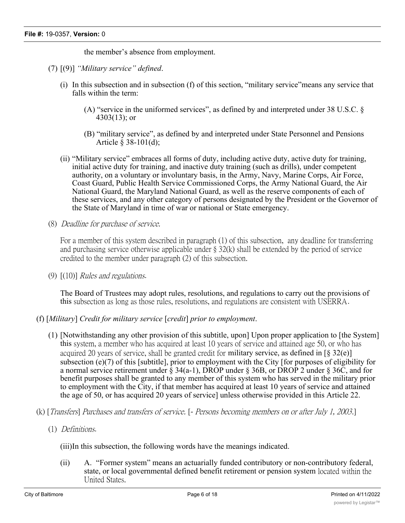the member's absence from employment.

- (7) [(9)] *"Military service" defined*.
	- (i) In this subsection and in subsection (f) of this section, "military service"means any service that falls within the term:
		- (A) "service in the uniformed services", as defined by and interpreted under 38 U.S.C. § 4303(13); or
		- (B) "military service", as defined by and interpreted under State Personnel and Pensions Article § 38-101(d);
	- (ii) "Military service" embraces all forms of duty, including active duty, active duty for training, initial active duty for training, and inactive duty training (such as drills), under competent authority, on a voluntary or involuntary basis, in the Army, Navy, Marine Corps, Air Force, Coast Guard, Public Health Service Commissioned Corps, the Army National Guard, the Air National Guard, the Maryland National Guard, as well as the reserve components of each of these services, and any other category of persons designated by the President or the Governor of the State of Maryland in time of war or national or State emergency.
- (8) *Deadline for purchase of service.*

For a member of this system described in paragraph (1) of this subsection, any deadline for transferring and purchasing service otherwise applicable under § 32(k) shall be extended by the period of service credited to the member under paragraph (2) of this subsection.

(9) [(10)] *Rules and regulations*.

The Board of Trustees may adopt rules, resolutions, and regulations to carry out the provisions of this subsection as long as those rules, resolutions, and regulations are consistent with USERRA.

- (f) [*Military*] *Credit for military service* [*credit*] *prior to employment*.
	- (1) [Notwithstanding any other provision of this subtitle, upon] Upon proper application to [the System] this system, a member who has acquired at least 10 years of service and attained age 50, or who has acquired 20 years of service, shall be granted credit for military service, as defined in  $\lceil \S 32(\mathbf{e}) \rceil$ subsection (e)(7) of this [subtitle], prior to employment with the City [for purposes of eligibility for a normal service retirement under  $\hat{\S}$  34(a-1), DROP under  $\hat{\S}$  36B, or DROP 2 under  $\hat{\S}$  36C, and for benefit purposes shall be granted to any member of this system who has served in the military prior to employment with the City, if that member has acquired at least 10 years of service and attained the age of 50, or has acquired 20 years of service] unless otherwise provided in this Article 22.
- (k) [*Transfers*] *Purchases and transfers of service.* [*- Persons becoming members on or after July 1, 2003*.]
	- (1) *Definitions*.

(iii)In this subsection, the following words have the meanings indicated.

(ii) A. "Former system" means an actuarially funded contributory or non-contributory federal, state, or local governmental defined benefit retirement or pension system located within the United States.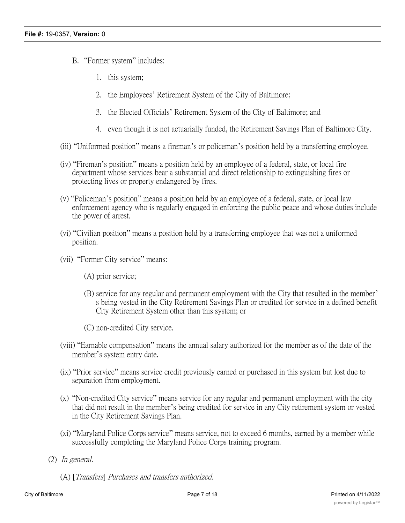- B. "Former system" includes:
	- 1. this system;
	- 2. the Employees' Retirement System of the City of Baltimore;
	- 3. the Elected Officials' Retirement System of the City of Baltimore; and
	- 4. even though it is not actuarially funded, the Retirement Savings Plan of Baltimore City.
- (iii) "Uniformed position" means a fireman's or policeman's position held by a transferring employee.
- (iv) "Fireman's position" means a position held by an employee of a federal, state, or local fire department whose services bear a substantial and direct relationship to extinguishing fires or protecting lives or property endangered by fires.
- (v) "Policeman's position" means a position held by an employee of a federal, state, or local law enforcement agency who is regularly engaged in enforcing the public peace and whose duties include the power of arrest.
- (vi) "Civilian position" means a position held by a transferring employee that was not a uniformed position.
- (vii) "Former City service" means:
	- (A) prior service;
	- (B) service for any regular and permanent employment with the City that resulted in the member' s being vested in the City Retirement Savings Plan or credited for service in a defined benefit City Retirement System other than this system; or

(C) non-credited City service.

- (viii) "Earnable compensation" means the annual salary authorized for the member as of the date of the member's system entry date.
- (ix) "Prior service" means service credit previously earned or purchased in this system but lost due to separation from employment.
- (x) "Non-credited City service" means service for any regular and permanent employment with the city that did not result in the member's being credited for service in any City retirement system or vested in the City Retirement Savings Plan.
- (xi) "Maryland Police Corps service" means service, not to exceed 6 months, earned by a member while successfully completing the Maryland Police Corps training program.
- (2) *In general*.
	- (A) [*Transfers*] *Purchases and transfers authorized.*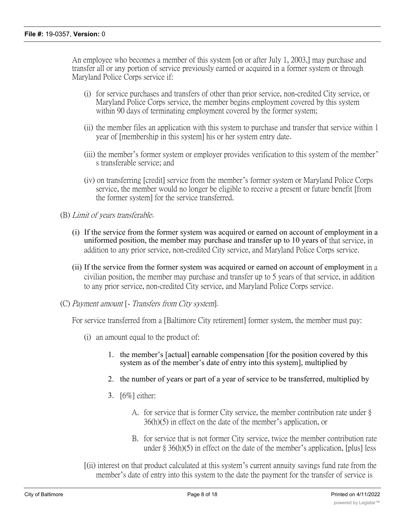An employee who becomes a member of this system [on or after July 1, 2003,] may purchase and transfer all or any portion of service previously earned or acquired in a former system or through Maryland Police Corps service if:

- (i) for service purchases and transfers of other than prior service, non-credited City service, or Maryland Police Corps service, the member begins employment covered by this system within 90 days of terminating employment covered by the former system;
- (ii) the member files an application with this system to purchase and transfer that service within 1 year of [membership in this system] his or her system entry date.
- (iii) the member's former system or employer provides verification to this system of the member' s transferable service; and
- (iv) on transferring [credit] service from the member's former system or Maryland Police Corps service, the member would no longer be eligible to receive a present or future benefit [from the former system] for the service transferred.
- (B) *Limit of years transferable*.
	- (i) If the service from the former system was acquired or earned on account of employment in a uniformed position, the member may purchase and transfer up to 10 years of that service, in addition to any prior service, non-credited City service, and Maryland Police Corps service.
	- (ii) If the service from the former system was acquired or earned on account of employment in a civilian position, the member may purchase and transfer up to 5 years of that service, in addition to any prior service, non-credited City service, and Maryland Police Corps service.
- (C) *Payment amount* [ *Transfers from City system*]*.*

For service transferred from a [Baltimore City retirement] former system, the member must pay:

- (i) an amount equal to the product of:
	- 1. the member's [actual] earnable compensation [for the position covered by this system as of the member's date of entry into this system], multiplied by
	- 2. the number of years or part of a year of service to be transferred, multiplied by
	- 3. [6%] either:
		- A. for service that is former City service, the member contribution rate under § 36(h)(5) in effect on the date of the member's application, or
		- B. for service that is not former City service, twice the member contribution rate under § 36(h)(5) in effect on the date of the member's application, [plus] less
- [(ii) interest on that product calculated at this system's current annuity savings fund rate from the member's date of entry into this system to the date the payment for the transfer of service is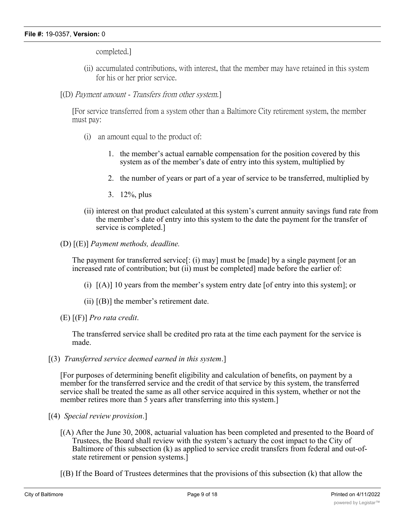completed.]

- (ii) accumulated contributions, with interest, that the member may have retained in this system for his or her prior service.
- [(D) *Payment amount Transfers from other system.*]

[For service transferred from a system other than a Baltimore City retirement system, the member must pay:

- (i) an amount equal to the product of:
	- 1. the member's actual earnable compensation for the position covered by this system as of the member's date of entry into this system, multiplied by
	- 2. the number of years or part of a year of service to be transferred, multiplied by
	- 3. 12%, plus
- (ii) interest on that product calculated at this system's current annuity savings fund rate from the member's date of entry into this system to the date the payment for the transfer of service is completed.]
- (D) [(E)] *Payment methods, deadline.*

The payment for transferred service[: (i) may] must be [made] by a single payment [or an increased rate of contribution; but (ii) must be completed] made before the earlier of:

- (i) [(A)] 10 years from the member's system entry date [of entry into this system]; or
- (ii)  $[(B)]$  the member's retirement date.
- (E) [(F)] *Pro rata credit*.

The transferred service shall be credited pro rata at the time each payment for the service is made.

[(3) *Transferred service deemed earned in this system*.]

[For purposes of determining benefit eligibility and calculation of benefits, on payment by a member for the transferred service and the credit of that service by this system, the transferred service shall be treated the same as all other service acquired in this system, whether or not the member retires more than 5 years after transferring into this system.]

- [(4) *Special review provision*.]
	- [(A) After the June 30, 2008, actuarial valuation has been completed and presented to the Board of Trustees, the Board shall review with the system's actuary the cost impact to the City of Baltimore of this subsection (k) as applied to service credit transfers from federal and out-ofstate retirement or pension systems.]
	- [(B) If the Board of Trustees determines that the provisions of this subsection (k) that allow the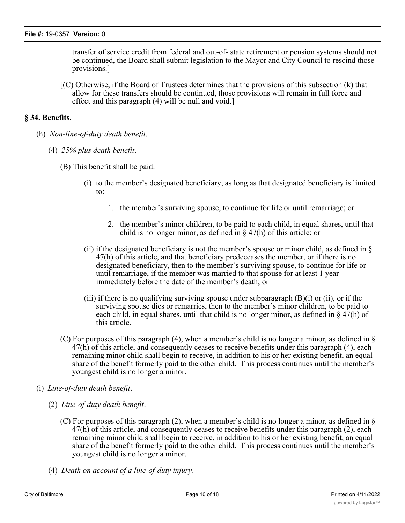transfer of service credit from federal and out-of- state retirement or pension systems should not be continued, the Board shall submit legislation to the Mayor and City Council to rescind those provisions.]

[(C) Otherwise, if the Board of Trustees determines that the provisions of this subsection (k) that allow for these transfers should be continued, those provisions will remain in full force and effect and this paragraph (4) will be null and void.]

## **§ 34. Benefits.**

- (h) *Non-line-of-duty death benefit*.
	- (4) *25% plus death benefit*.
		- (B) This benefit shall be paid:
			- (i) to the member's designated beneficiary, as long as that designated beneficiary is limited to:
				- 1. the member's surviving spouse, to continue for life or until remarriage; or
				- 2. the member's minor children, to be paid to each child, in equal shares, until that child is no longer minor, as defined in § 47(h) of this article; or
			- (ii) if the designated beneficiary is not the member's spouse or minor child, as defined in  $\S$ 47(h) of this article, and that beneficiary predeceases the member, or if there is no designated beneficiary, then to the member's surviving spouse, to continue for life or until remarriage, if the member was married to that spouse for at least 1 year immediately before the date of the member's death; or
			- (iii) if there is no qualifying surviving spouse under subparagraph (B)(i) or (ii), or if the surviving spouse dies or remarries, then to the member's minor children, to be paid to each child, in equal shares, until that child is no longer minor, as defined in  $\S 47(h)$  of this article.
		- (C) For purposes of this paragraph (4), when a member's child is no longer a minor, as defined in  $\S$ 47(h) of this article, and consequently ceases to receive benefits under this paragraph (4), each remaining minor child shall begin to receive, in addition to his or her existing benefit, an equal share of the benefit formerly paid to the other child. This process continues until the member's youngest child is no longer a minor.
- (i) *Line-of-duty death benefit*.
	- (2) *Line-of-duty death benefit*.
		- (C) For purposes of this paragraph (2), when a member's child is no longer a minor, as defined in § 47(h) of this article, and consequently ceases to receive benefits under this paragraph (2), each remaining minor child shall begin to receive, in addition to his or her existing benefit, an equal share of the benefit formerly paid to the other child. This process continues until the member's youngest child is no longer a minor.
	- (4) *Death on account of a line-of-duty injury*.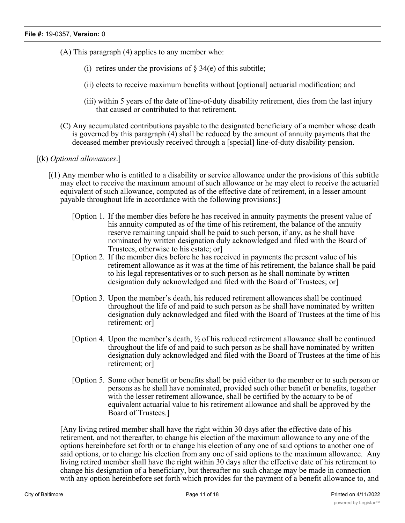- (A) This paragraph (4) applies to any member who:
	- (i) retires under the provisions of  $\S 34(e)$  of this subtitle;
	- (ii) elects to receive maximum benefits without [optional] actuarial modification; and
	- (iii) within 5 years of the date of line-of-duty disability retirement, dies from the last injury that caused or contributed to that retirement.
- (C) Any accumulated contributions payable to the designated beneficiary of a member whose death is governed by this paragraph (4) shall be reduced by the amount of annuity payments that the deceased member previously received through a [special] line-of-duty disability pension.
- [(k) *Optional allowances*.]
	- [(1) Any member who is entitled to a disability or service allowance under the provisions of this subtitle may elect to receive the maximum amount of such allowance or he may elect to receive the actuarial equivalent of such allowance, computed as of the effective date of retirement, in a lesser amount payable throughout life in accordance with the following provisions:]
		- [Option 1. If the member dies before he has received in annuity payments the present value of his annuity computed as of the time of his retirement, the balance of the annuity reserve remaining unpaid shall be paid to such person, if any, as he shall have nominated by written designation duly acknowledged and filed with the Board of Trustees, otherwise to his estate; or]
		- [Option 2. If the member dies before he has received in payments the present value of his retirement allowance as it was at the time of his retirement, the balance shall be paid to his legal representatives or to such person as he shall nominate by written designation duly acknowledged and filed with the Board of Trustees; or]
		- [Option 3. Upon the member's death, his reduced retirement allowances shall be continued throughout the life of and paid to such person as he shall have nominated by written designation duly acknowledged and filed with the Board of Trustees at the time of his retirement; or]
		- [Option 4. Upon the member's death, ½ of his reduced retirement allowance shall be continued throughout the life of and paid to such person as he shall have nominated by written designation duly acknowledged and filed with the Board of Trustees at the time of his retirement; or]
		- [Option 5. Some other benefit or benefits shall be paid either to the member or to such person or persons as he shall have nominated, provided such other benefit or benefits, together with the lesser retirement allowance, shall be certified by the actuary to be of equivalent actuarial value to his retirement allowance and shall be approved by the Board of Trustees.]

[Any living retired member shall have the right within 30 days after the effective date of his retirement, and not thereafter, to change his election of the maximum allowance to any one of the options hereinbefore set forth or to change his election of any one of said options to another one of said options, or to change his election from any one of said options to the maximum allowance. Any living retired member shall have the right within 30 days after the effective date of his retirement to change his designation of a beneficiary, but thereafter no such change may be made in connection with any option hereinbefore set forth which provides for the payment of a benefit allowance to, and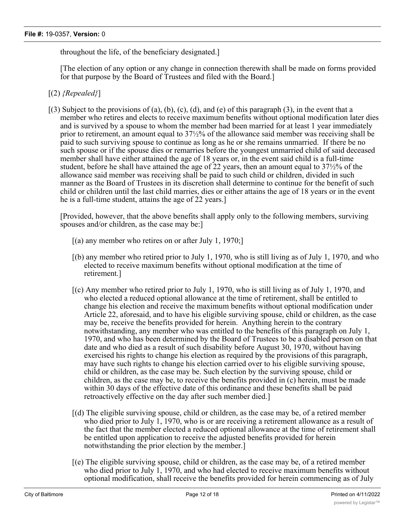throughout the life, of the beneficiary designated.]

[The election of any option or any change in connection therewith shall be made on forms provided for that purpose by the Board of Trustees and filed with the Board.]

- [(2) *{Repealed}*]
- $(3)$  Subject to the provisions of (a), (b), (c), (d), and (e) of this paragraph (3), in the event that a member who retires and elects to receive maximum benefits without optional modification later dies and is survived by a spouse to whom the member had been married for at least 1 year immediately prior to retirement, an amount equal to 37½% of the allowance said member was receiving shall be paid to such surviving spouse to continue as long as he or she remains unmarried. If there be no such spouse or if the spouse dies or remarries before the youngest unmarried child of said deceased member shall have either attained the age of 18 years or, in the event said child is a full-time student, before he shall have attained the age of 22 years, then an amount equal to 37½% of the allowance said member was receiving shall be paid to such child or children, divided in such manner as the Board of Trustees in its discretion shall determine to continue for the benefit of such child or children until the last child marries, dies or either attains the age of 18 years or in the event he is a full-time student, attains the age of 22 years.]

[Provided, however, that the above benefits shall apply only to the following members, surviving spouses and/or children, as the case may be:]

- $[(a)$  any member who retires on or after July 1, 1970;
- [(b) any member who retired prior to July 1, 1970, who is still living as of July 1, 1970, and who elected to receive maximum benefits without optional modification at the time of retirement.]
- [(c) Any member who retired prior to July 1, 1970, who is still living as of July 1, 1970, and who elected a reduced optional allowance at the time of retirement, shall be entitled to change his election and receive the maximum benefits without optional modification under Article 22, aforesaid, and to have his eligible surviving spouse, child or children, as the case may be, receive the benefits provided for herein. Anything herein to the contrary notwithstanding, any member who was entitled to the benefits of this paragraph on July 1, 1970, and who has been determined by the Board of Trustees to be a disabled person on that date and who died as a result of such disability before August 30, 1970, without having exercised his rights to change his election as required by the provisions of this paragraph, may have such rights to change his election carried over to his eligible surviving spouse, child or children, as the case may be. Such election by the surviving spouse, child or children, as the case may be, to receive the benefits provided in (c) herein, must be made within 30 days of the effective date of this ordinance and these benefits shall be paid retroactively effective on the day after such member died.]
- [(d) The eligible surviving spouse, child or children, as the case may be, of a retired member who died prior to July 1, 1970, who is or are receiving a retirement allowance as a result of the fact that the member elected a reduced optional allowance at the time of retirement shall be entitled upon application to receive the adjusted benefits provided for herein notwithstanding the prior election by the member.]
- [(e) The eligible surviving spouse, child or children, as the case may be, of a retired member who died prior to July 1, 1970, and who had elected to receive maximum benefits without optional modification, shall receive the benefits provided for herein commencing as of July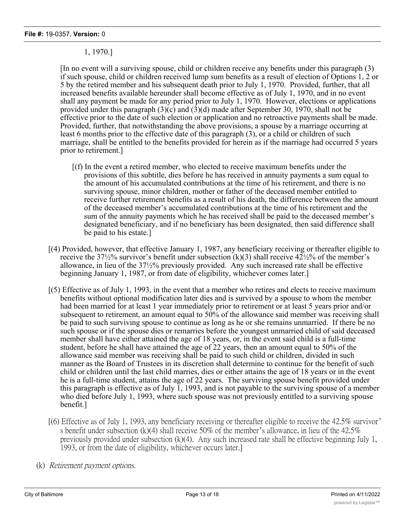## 1, 1970.]

[In no event will a surviving spouse, child or children receive any benefits under this paragraph (3) if such spouse, child or children received lump sum benefits as a result of election of Options 1, 2 or 5 by the retired member and his subsequent death prior to July 1, 1970. Provided, further, that all increased benefits available hereunder shall become effective as of July 1, 1970, and in no event shall any payment be made for any period prior to July 1, 1970. However, elections or applications provided under this paragraph (3)(c) and (3)(d) made after September 30, 1970, shall not be effective prior to the date of such election or application and no retroactive payments shall be made. Provided, further, that notwithstanding the above provisions, a spouse by a marriage occurring at least 6 months prior to the effective date of this paragraph (3), or a child or children of such marriage, shall be entitled to the benefits provided for herein as if the marriage had occurred 5 years prior to retirement.]

- [(f) In the event a retired member, who elected to receive maximum benefits under the provisions of this subtitle, dies before he has received in annuity payments a sum equal to the amount of his accumulated contributions at the time of his retirement, and there is no surviving spouse, minor children, mother or father of the deceased member entitled to receive further retirement benefits as a result of his death, the difference between the amount of the deceased member's accumulated contributions at the time of his retirement and the sum of the annuity payments which he has received shall be paid to the deceased member's designated beneficiary, and if no beneficiary has been designated, then said difference shall be paid to his estate.]
- [(4) Provided, however, that effective January 1, 1987, any beneficiary receiving or thereafter eligible to receive the 37½% survivor's benefit under subsection  $(k)(3)$  shall receive 42½% of the member's allowance, in lieu of the 37½% previously provided. Any such increased rate shall be effective beginning January 1, 1987, or from date of eligibility, whichever comes later.]
- [(5) Effective as of July 1, 1993, in the event that a member who retires and elects to receive maximum benefits without optional modification later dies and is survived by a spouse to whom the member had been married for at least 1 year immediately prior to retirement or at least 5 years prior and/or subsequent to retirement, an amount equal to 50% of the allowance said member was receiving shall be paid to such surviving spouse to continue as long as he or she remains unmarried. If there be no such spouse or if the spouse dies or remarries before the youngest unmarried child of said deceased member shall have either attained the age of 18 years, or, in the event said child is a full-time student, before he shall have attained the age of 22 years, then an amount equal to 50% of the allowance said member was receiving shall be paid to such child or children, divided in such manner as the Board of Trustees in its discretion shall determine to continue for the benefit of such child or children until the last child marries, dies or either attains the age of 18 years or in the event he is a full-time student, attains the age of 22 years. The surviving spouse benefit provided under this paragraph is effective as of July 1, 1993, and is not payable to the surviving spouse of a member who died before July 1, 1993, where such spouse was not previously entitled to a surviving spouse benefit.]
- [(6) Effective as of July 1, 1993, any beneficiary receiving or thereafter eligible to receive the 42.5% survivor' s benefit under subsection (k)(4) shall receive 50% of the member's allowance, in lieu of the 42.5% previously provided under subsection (k)(4). Any such increased rate shall be effective beginning July 1, 1993, or from the date of eligibility, whichever occurs later.]
- (k) *Retirement payment options.*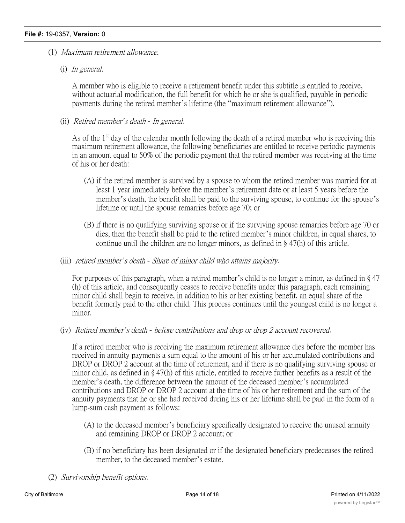- (1) *Maximum retirement allowance.*
	- (i) *In general.*

A member who is eligible to receive a retirement benefit under this subtitle is entitled to receive, without actuarial modification, the full benefit for which he or she is qualified, payable in periodic payments during the retired member's lifetime (the "maximum retirement allowance").

(ii) *Retired member's death - In general*.

As of the 1<sup>st</sup> day of the calendar month following the death of a retired member who is receiving this maximum retirement allowance, the following beneficiaries are entitled to receive periodic payments in an amount equal to 50% of the periodic payment that the retired member was receiving at the time of his or her death:

- (A) if the retired member is survived by a spouse to whom the retired member was married for at least 1 year immediately before the member's retirement date or at least 5 years before the member's death, the benefit shall be paid to the surviving spouse, to continue for the spouse's lifetime or until the spouse remarries before age 70; or
- (B) if there is no qualifying surviving spouse or if the surviving spouse remarries before age 70 or dies, then the benefit shall be paid to the retired member's minor children, in equal shares, to continue until the children are no longer minors, as defined in § 47(h) of this article.
- (iii) *retired member's death - Share of minor child who attains majority*.

For purposes of this paragraph, when a retired member's child is no longer a minor, as defined in § 47 (h) of this article, and consequently ceases to receive benefits under this paragraph, each remaining minor child shall begin to receive, in addition to his or her existing benefit, an equal share of the benefit formerly paid to the other child. This process continues until the youngest child is no longer a minor.

(iv) *Retired member's death - before contributions and drop or drop 2 account recovered*.

If a retired member who is receiving the maximum retirement allowance dies before the member has received in annuity payments a sum equal to the amount of his or her accumulated contributions and DROP or DROP 2 account at the time of retirement, and if there is no qualifying surviving spouse or minor child, as defined in § 47(h) of this article, entitled to receive further benefits as a result of the member's death, the difference between the amount of the deceased member's accumulated contributions and DROP or DROP 2 account at the time of his or her retirement and the sum of the annuity payments that he or she had received during his or her lifetime shall be paid in the form of a lump-sum cash payment as follows:

- (A) to the deceased member's beneficiary specifically designated to receive the unused annuity and remaining DROP or DROP 2 account; or
- (B) if no beneficiary has been designated or if the designated beneficiary predeceases the retired member, to the deceased member's estate.
- (2) *Survivorship benefit options*.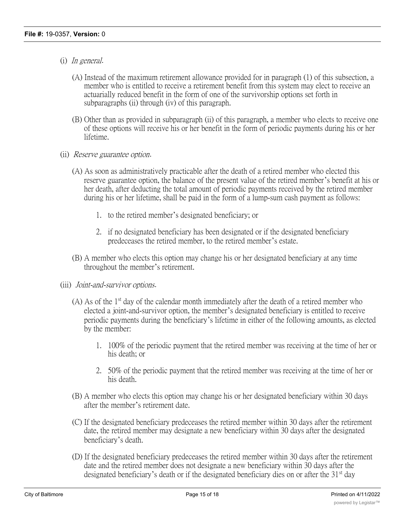- (i) *In general*.
	- (A) Instead of the maximum retirement allowance provided for in paragraph (1) of this subsection, a member who is entitled to receive a retirement benefit from this system may elect to receive an actuarially reduced benefit in the form of one of the survivorship options set forth in subparagraphs (ii) through (iv) of this paragraph.
	- (B) Other than as provided in subparagraph (ii) of this paragraph, a member who elects to receive one of these options will receive his or her benefit in the form of periodic payments during his or her lifetime.
- (ii) *Reserve guarantee option*.
	- (A) As soon as administratively practicable after the death of a retired member who elected this reserve guarantee option, the balance of the present value of the retired member's benefit at his or her death, after deducting the total amount of periodic payments received by the retired member during his or her lifetime, shall be paid in the form of a lump-sum cash payment as follows:
		- 1. to the retired member's designated beneficiary; or
		- 2. if no designated beneficiary has been designated or if the designated beneficiary predeceases the retired member, to the retired member's estate.
	- (B) A member who elects this option may change his or her designated beneficiary at any time throughout the member's retirement.
- (iii) *Joint-and-survivor options*.
	- (A) As of the  $1<sup>st</sup>$  day of the calendar month immediately after the death of a retired member who elected a joint-and-survivor option, the member's designated beneficiary is entitled to receive periodic payments during the beneficiary's lifetime in either of the following amounts, as elected by the member:
		- 1. 100% of the periodic payment that the retired member was receiving at the time of her or his death; or
		- 2. 50% of the periodic payment that the retired member was receiving at the time of her or his death.
	- (B) A member who elects this option may change his or her designated beneficiary within 30 days after the member's retirement date.
	- (C) If the designated beneficiary predeceases the retired member within 30 days after the retirement date, the retired member may designate a new beneficiary within 30 days after the designated beneficiary's death.
	- (D) If the designated beneficiary predeceases the retired member within 30 days after the retirement date and the retired member does not designate a new beneficiary within 30 days after the designated beneficiary's death or if the designated beneficiary dies on or after the  $31<sup>st</sup>$  day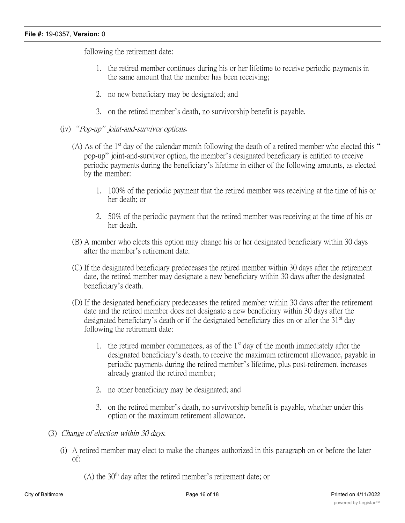following the retirement date:

- 1. the retired member continues during his or her lifetime to receive periodic payments in the same amount that the member has been receiving;
- 2. no new beneficiary may be designated; and
- 3. on the retired member's death, no survivorship benefit is payable.
- (iv) *"Pop-up" joint-and-survivor options*.
	- (A) As of the  $1<sup>st</sup>$  day of the calendar month following the death of a retired member who elected this " pop-up" joint-and-survivor option, the member's designated beneficiary is entitled to receive periodic payments during the beneficiary's lifetime in either of the following amounts, as elected by the member:
		- 1. 100% of the periodic payment that the retired member was receiving at the time of his or her death; or
		- 2. 50% of the periodic payment that the retired member was receiving at the time of his or her death.
	- (B) A member who elects this option may change his or her designated beneficiary within 30 days after the member's retirement date.
	- (C) If the designated beneficiary predeceases the retired member within 30 days after the retirement date, the retired member may designate a new beneficiary within 30 days after the designated beneficiary's death.
	- (D) If the designated beneficiary predeceases the retired member within 30 days after the retirement date and the retired member does not designate a new beneficiary within 30 days after the designated beneficiary's death or if the designated beneficiary dies on or after the  $31<sup>st</sup>$  day following the retirement date:
		- 1. the retired member commences, as of the  $1<sup>st</sup>$  day of the month immediately after the designated beneficiary's death, to receive the maximum retirement allowance, payable in periodic payments during the retired member's lifetime, plus post-retirement increases already granted the retired member;
		- 2. no other beneficiary may be designated; and
		- 3. on the retired member's death, no survivorship benefit is payable, whether under this option or the maximum retirement allowance.
- (3) *Change of election within 30 days.*
	- (i) A retired member may elect to make the changes authorized in this paragraph on or before the later of:
		- $(A)$  the 30<sup>th</sup> day after the retired member's retirement date; or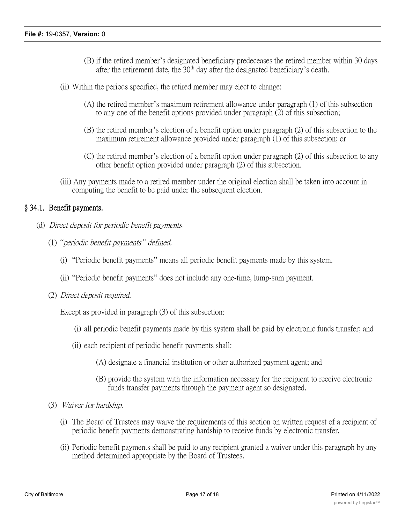- (B) if the retired member's designated beneficiary predeceases the retired member within 30 days after the retirement date, the  $30<sup>th</sup>$  day after the designated beneficiary's death.
- (ii) Within the periods specified, the retired member may elect to change:
	- (A) the retired member's maximum retirement allowance under paragraph (1) of this subsection to any one of the benefit options provided under paragraph (2) of this subsection;
	- (B) the retired member's election of a benefit option under paragraph (2) of this subsection to the maximum retirement allowance provided under paragraph (1) of this subsection; or
	- (C) the retired member's election of a benefit option under paragraph (2) of this subsection to any other benefit option provided under paragraph (2) of this subsection.
- (iii) Any payments made to a retired member under the original election shall be taken into account in computing the benefit to be paid under the subsequent election.

## **§ 34.1. Benefit payments.**

- (d) *Direct deposit for periodic benefit payments*.
	- (1) *"periodic benefit payments" defined.*
		- (i) "Periodic benefit payments" means all periodic benefit payments made by this system.
		- (ii) "Periodic benefit payments" does not include any one-time, lump-sum payment.
	- (2) *Direct deposit required.*

Except as provided in paragraph (3) of this subsection:

- (i) all periodic benefit payments made by this system shall be paid by electronic funds transfer; and
- (ii) each recipient of periodic benefit payments shall:
	- (A) designate a financial institution or other authorized payment agent; and
	- (B) provide the system with the information necessary for the recipient to receive electronic funds transfer payments through the payment agent so designated.
- (3) *Waiver for hardship.*
	- (i) The Board of Trustees may waive the requirements of this section on written request of a recipient of periodic benefit payments demonstrating hardship to receive funds by electronic transfer.
	- (ii) Periodic benefit payments shall be paid to any recipient granted a waiver under this paragraph by any method determined appropriate by the Board of Trustees.